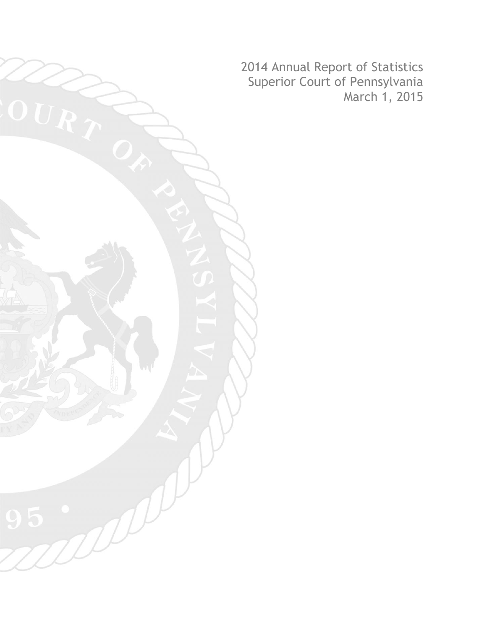2014 Annual Report of Statistics Superior Court of Pennsylvania March 1, 2015

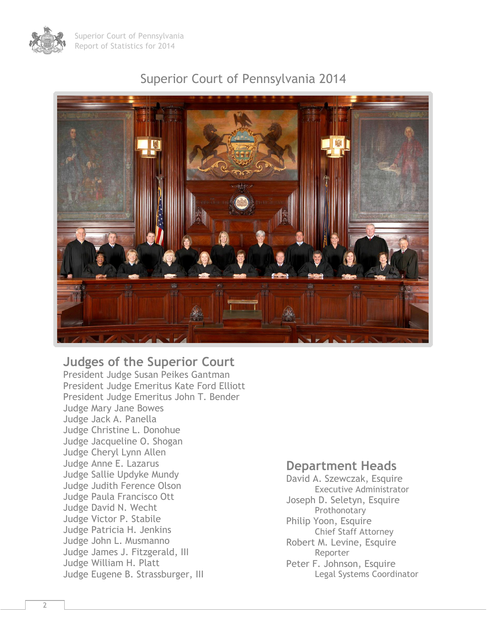

#### Superior Court of Pennsylvania 2014



#### **Judges of the Superior Court**

President Judge Susan Peikes Gantman President Judge Emeritus Kate Ford Elliott President Judge Emeritus John T. Bender Judge Mary Jane Bowes Judge Jack A. Panella Judge Christine L. Donohue Judge Jacqueline O. Shogan Judge Cheryl Lynn Allen Judge Anne E. Lazarus Judge Sallie Updyke Mundy Judge Judith Ference Olson Judge Paula Francisco Ott Judge David N. Wecht Judge Victor P. Stabile Judge Patricia H. Jenkins Judge John L. Musmanno Judge James J. Fitzgerald, III Judge William H. Platt Judge Eugene B. Strassburger, III

#### **Department Heads**

David A. Szewczak, Esquire Executive Administrator Joseph D. Seletyn, Esquire Prothonotary Philip Yoon, Esquire Chief Staff Attorney Robert M. Levine, Esquire Reporter Peter F. Johnson, Esquire Legal Systems Coordinator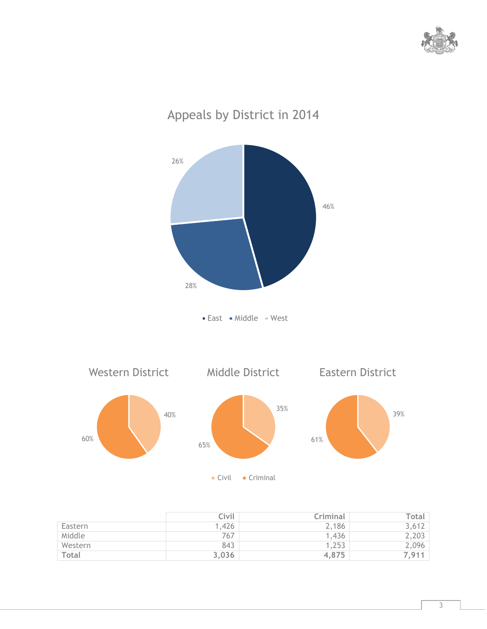



|         | Civil | Criminal | Total l |
|---------|-------|----------|---------|
| Eastern | 1,426 | 2,186    | 3,612   |
| Middle  | 767   | 1,436    | 2,203   |
| Western | 843   | 1,253    | 2,096   |
| Total   | 3,036 | 4,875    | 7,911   |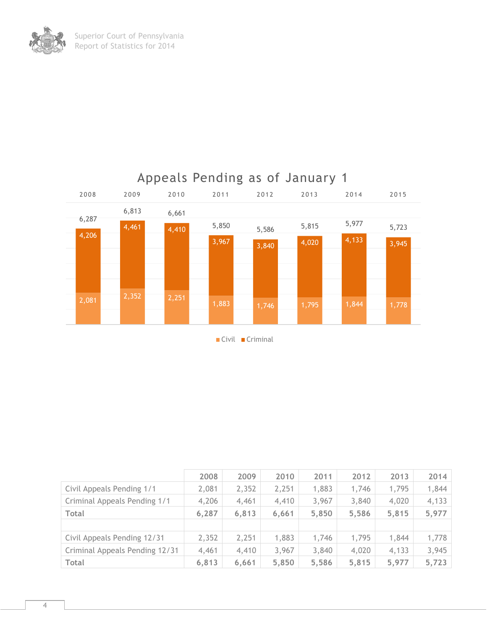

| $\blacksquare$ Civil | $\blacksquare$ Criminal |
|----------------------|-------------------------|
|----------------------|-------------------------|

|                                | 2008  | 2009  | 2010  | 2011  | 2012  | 2013  | 2014  |
|--------------------------------|-------|-------|-------|-------|-------|-------|-------|
| Civil Appeals Pending 1/1      | 2,081 | 2,352 | 2,251 | 1,883 | 1,746 | 1,795 | 1,844 |
| Criminal Appeals Pending 1/1   | 4,206 | 4,461 | 4,410 | 3,967 | 3,840 | 4,020 | 4,133 |
| <b>Total</b>                   | 6,287 | 6,813 | 6,661 | 5,850 | 5,586 | 5,815 | 5,977 |
|                                |       |       |       |       |       |       |       |
| Civil Appeals Pending 12/31    | 2,352 | 2,251 | 1,883 | 1,746 | 1,795 | 1,844 | 1,778 |
| Criminal Appeals Pending 12/31 | 4,461 | 4,410 | 3,967 | 3,840 | 4,020 | 4,133 | 3,945 |
| <b>Total</b>                   | 6,813 | 6,661 | 5,850 | 5,586 | 5,815 | 5,977 | 5,723 |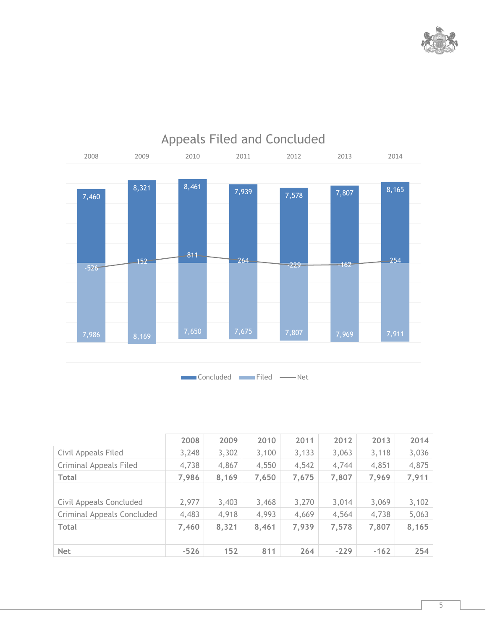



|  |  | <b>Appeals Filed and Concluded</b> |
|--|--|------------------------------------|

|                            | 2008   | 2009  | 2010  | 2011  | 2012   | 2013   | 2014  |
|----------------------------|--------|-------|-------|-------|--------|--------|-------|
| Civil Appeals Filed        | 3,248  | 3,302 | 3,100 | 3,133 | 3,063  | 3,118  | 3,036 |
| Criminal Appeals Filed     | 4,738  | 4,867 | 4,550 | 4,542 | 4,744  | 4,851  | 4,875 |
| <b>Total</b>               | 7,986  | 8,169 | 7,650 | 7,675 | 7,807  | 7,969  | 7,911 |
|                            |        |       |       |       |        |        |       |
| Civil Appeals Concluded    | 2,977  | 3,403 | 3,468 | 3,270 | 3,014  | 3,069  | 3,102 |
| Criminal Appeals Concluded | 4,483  | 4,918 | 4,993 | 4,669 | 4,564  | 4,738  | 5,063 |
| <b>Total</b>               | 7,460  | 8,321 | 8,461 | 7,939 | 7,578  | 7,807  | 8,165 |
|                            |        |       |       |       |        |        |       |
| <b>Net</b>                 | $-526$ | 152   | 811   | 264   | $-229$ | $-162$ | 254   |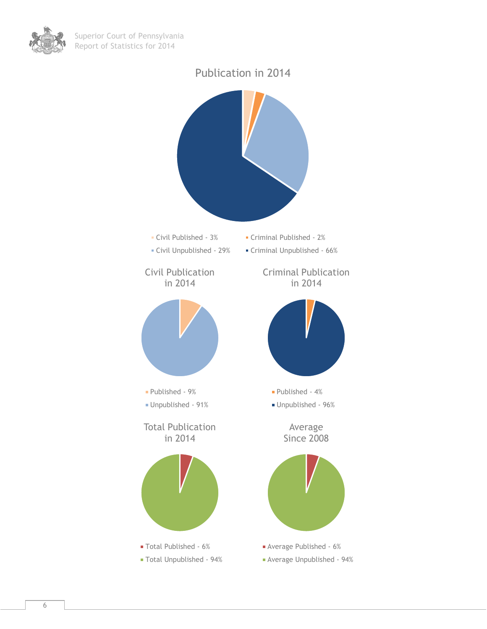



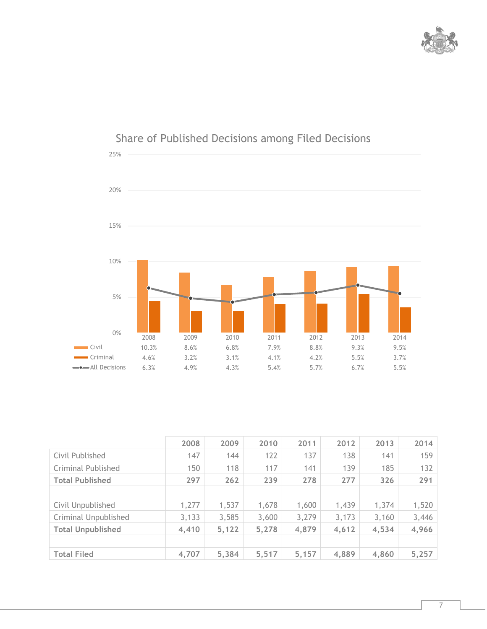



## Share of Published Decisions among Filed Decisions

|                           | 2008  | 2009  | 2010  | 2011  | 2012  | 2013  | 2014  |
|---------------------------|-------|-------|-------|-------|-------|-------|-------|
| Civil Published           | 147   | 144   | 122   | 137   | 138   | 141   | 159   |
| <b>Criminal Published</b> | 150   | 118   | 117   | 141   | 139   | 185   | 132   |
| <b>Total Published</b>    | 297   | 262   | 239   | 278   | 277   | 326   | 291   |
|                           |       |       |       |       |       |       |       |
| Civil Unpublished         | 1,277 | 1,537 | 1,678 | 1,600 | 1,439 | 1,374 | 1,520 |
| Criminal Unpublished      | 3,133 | 3,585 | 3,600 | 3,279 | 3,173 | 3,160 | 3,446 |
| <b>Total Unpublished</b>  | 4,410 | 5,122 | 5,278 | 4,879 | 4,612 | 4,534 | 4,966 |
|                           |       |       |       |       |       |       |       |
| <b>Total Filed</b>        | 4,707 | 5,384 | 5,517 | 5,157 | 4,889 | 4,860 | 5,257 |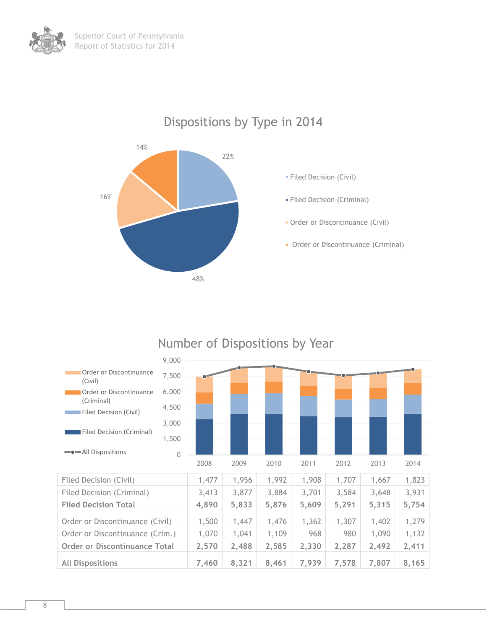

Dispositions by Type in 2014

#### Filed Decision (Civil) 1,477 | 1,956 | 1,992 | 1,908 | 1,707 | 1,667 | 1,823 Filed Decision (Criminal) 3,413 3,877 3,884 3,701 3,584 3,648 3,931 **Filed Decision Total 4,890 5,833 5,876 5,609 5,291 5,315 5,754** Order or Discontinuance (Civil) 1,500 1,447 1,476 1,362 1,307 1,402 1,279 Order or Discontinuance (Crim.) 1,070 1,041 1,109 968 980 1,090 1,132 **Order or Discontinuance Total 2,570 2,488 2,585 2,330 2,287 2,492 2,411 All Dispositions 7,460 8,321 8,461 7,939 7,578 7,807 8,165** 0 1,500 3,000 4,500 6,000 7,500 9,000 2008 2009 2010 2011 2012 2013 2014 **Order or Discontinuance** (Civil) Order or Discontinuance (Criminal) Filed Decision (Civil) Filed Decision (Criminal) **-**• All Dispositions

#### Number of Dispositions by Year

#### 8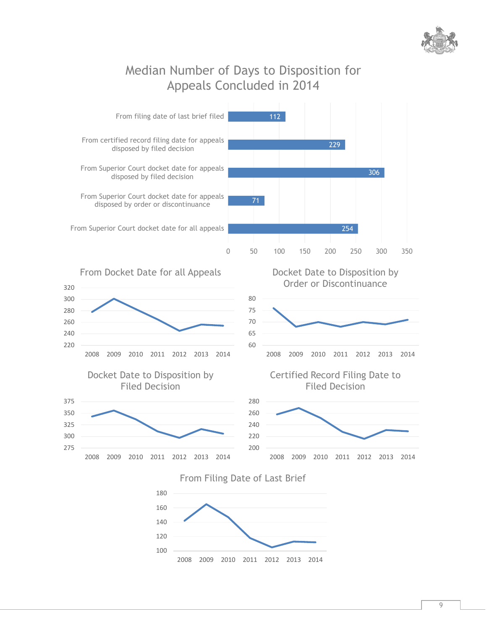

### Median Number of Days to Disposition for Appeals Concluded in 2014

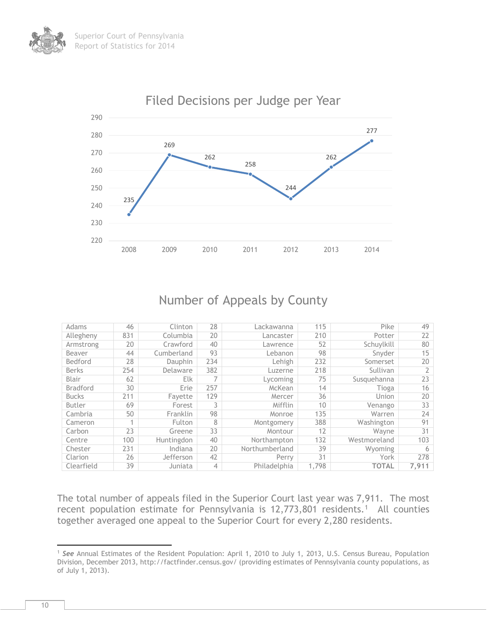

#### Number of Appeals by County

| Adams           | 46  | Clinton    | 28  | Lackawanna     | 115   | Pike         | 49    |
|-----------------|-----|------------|-----|----------------|-------|--------------|-------|
| Allegheny       | 831 | Columbia   | 20  | Lancaster      | 210   | Potter       | 22    |
| Armstrong       | 20  | Crawford   | 40  | Lawrence       | 52    | Schuylkill   | 80    |
| Beaver          | 44  | Cumberland | 93  | Lebanon        | 98    | Snyder       | 15    |
| Bedford         | 28  | Dauphin    | 234 | Lehigh         | 232   | Somerset     | 20    |
| <b>Berks</b>    | 254 | Delaware   | 382 | Luzerne        | 218   | Sullivan     |       |
| Blair           | 62  | <b>Elk</b> |     | Lycoming       | 75    | Susquehanna  | 23    |
| <b>Bradford</b> | 30  | Erie       | 257 | McKean         | 14    | Tioga        | 16    |
| <b>Bucks</b>    | 211 | Fayette    | 129 | Mercer         | 36    | Union        | 20    |
| Butler          | 69  | Forest     | 3   | Mifflin        | 10    | Venango      | 33    |
| Cambria         | 50  | Franklin   | 98  | Monroe         | 135   | Warren       | 24    |
| Cameron         |     | Fulton     | 8   | Montgomery     | 388   | Washington   | 91    |
| Carbon          | 23  | Greene     | 33  | Montour        | 12    | Wavne        | 31    |
| Centre          | 100 | Huntingdon | 40  | Northampton    | 132   | Westmoreland | 103   |
| Chester         | 231 | Indiana    | 20  | Northumberland | 39    | Wyoming      | 6     |
| Clarion         | 26  | Jefferson  | 42  | Perry          | 31    | York         | 278   |
| Clearfield      | 39  | Juniata    | 4   | Philadelphia   | 1,798 | <b>TOTAL</b> | 7,911 |

The total number of appeals filed in the Superior Court last year was 7,911. The most recent population estimate for Pennsylvania is  $12,773,801$  residents.<sup>1</sup> All counties together averaged one appeal to the Superior Court for every 2,280 residents.

 $\overline{a}$ <sup>1</sup> *See* Annual Estimates of the Resident Population: April 1, 2010 to July 1, 2013, U.S. Census Bureau, Population Division, December 2013, http://factfinder.census.gov/ (providing estimates of Pennsylvania county populations, as of July 1, 2013).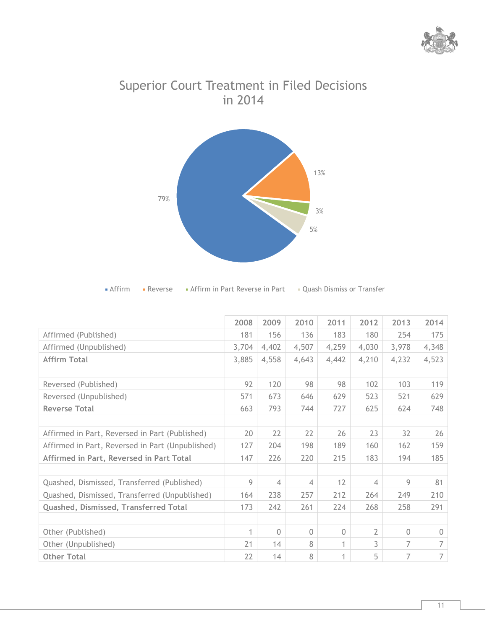



## Superior Court Treatment in Filed Decisions in 2014

| • Affirm in Part Reverse in Part<br>Affirm<br>• Reverse | Quash Dismiss or Transfer |
|---------------------------------------------------------|---------------------------|
|---------------------------------------------------------|---------------------------|

|                                                  | 2008  | 2009           | 2010     | 2011     | 2012           | 2013     | 2014       |
|--------------------------------------------------|-------|----------------|----------|----------|----------------|----------|------------|
| Affirmed (Published)                             | 181   | 156            | 136      | 183      | 180            | 254      | 175        |
| Affirmed (Unpublished)                           | 3,704 | 4,402          | 4,507    | 4,259    | 4,030          | 3,978    | 4,348      |
| <b>Affirm Total</b>                              | 3,885 | 4,558          | 4,643    | 4,442    | 4,210          | 4,232    | 4,523      |
|                                                  |       |                |          |          |                |          |            |
| Reversed (Published)                             | 92    | 120            | 98       | 98       | 102            | 103      | 119        |
| Reversed (Unpublished)                           | 571   | 673            | 646      | 629      | 523            | 521      | 629        |
| <b>Reverse Total</b>                             | 663   | 793            | 744      | 727      | 625            | 624      | 748        |
|                                                  |       |                |          |          |                |          |            |
| Affirmed in Part, Reversed in Part (Published)   | 20    | 22             | 22       | 26       | 23             | 32       | 26         |
| Affirmed in Part, Reversed in Part (Unpublished) | 127   | 204            | 198      | 189      | 160            | 162      | 159        |
| Affirmed in Part, Reversed in Part Total         | 147   | 226            | 220      | 215      | 183            | 194      | 185        |
|                                                  |       |                |          |          |                |          |            |
| Quashed, Dismissed, Transferred (Published)      | 9     | $\overline{4}$ | 4        | 12       | 4              | 9        | 81         |
| Quashed, Dismissed, Transferred (Unpublished)    | 164   | 238            | 257      | 212      | 264            | 249      | 210        |
| Quashed, Dismissed, Transferred Total            | 173   | 242            | 261      | 224      | 268            | 258      | 291        |
|                                                  |       |                |          |          |                |          |            |
| Other (Published)                                | 1     | $\Omega$       | $\Omega$ | $\Omega$ | $\overline{2}$ | $\Omega$ | $\bigcirc$ |
| Other (Unpublished)                              | 21    | 14             | 8        | 1        | 3              | 7        | 7          |
| <b>Other Total</b>                               | 22    | 14             | 8        | 1        | 5              | 7        | 7          |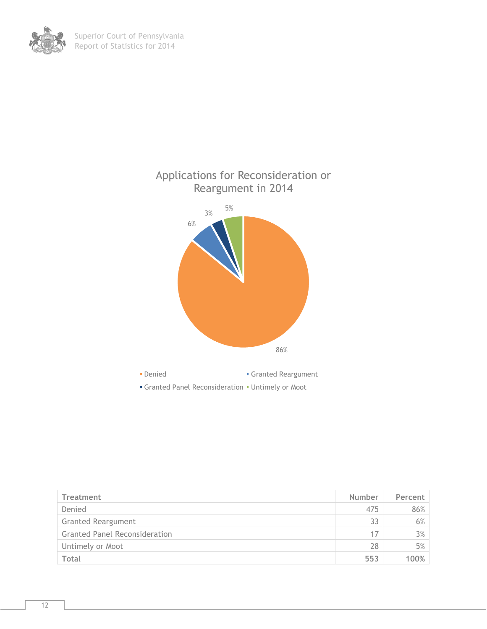



| Treatment                            | Number | Percent |
|--------------------------------------|--------|---------|
| Denied                               | 475    | 86%     |
| <b>Granted Reargument</b>            | 33     | 6%      |
| <b>Granted Panel Reconsideration</b> | 17     | 3%      |
| Untimely or Moot                     | 28     | 5%      |
| Total                                | 553    | 100%    |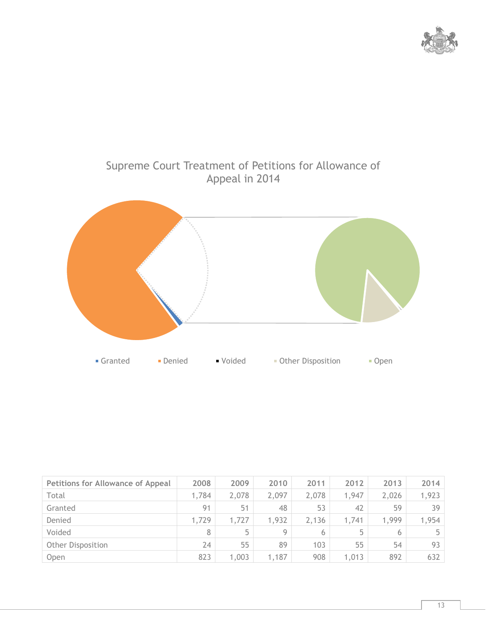



| <b>Petitions for Allowance of Appeal</b> | 2008  | 2009  | 2010  | 2011  | 2012  | 2013  | 2014  |
|------------------------------------------|-------|-------|-------|-------|-------|-------|-------|
| Total                                    | 1,784 | 2,078 | 2,097 | 2,078 | 1,947 | 2,026 | 1,923 |
| Granted                                  | 91    | 51    | 48    | 53    | 42    | 59    | 39    |
| Denied                                   | 1,729 | 1,727 | 1,932 | 2,136 | 1,741 | 1,999 | 1,954 |
| Voided                                   | 8     | 5     | Q     | 6     | 5     | 6     | 5     |
| <b>Other Disposition</b>                 | 24    | 55    | 89    | 103   | 55    | 54    | 93    |
| Open                                     | 823   | 1,003 | 1,187 | 908   | 1,013 | 892   | 632   |

# Supreme Court Treatment of Petitions for Allowance of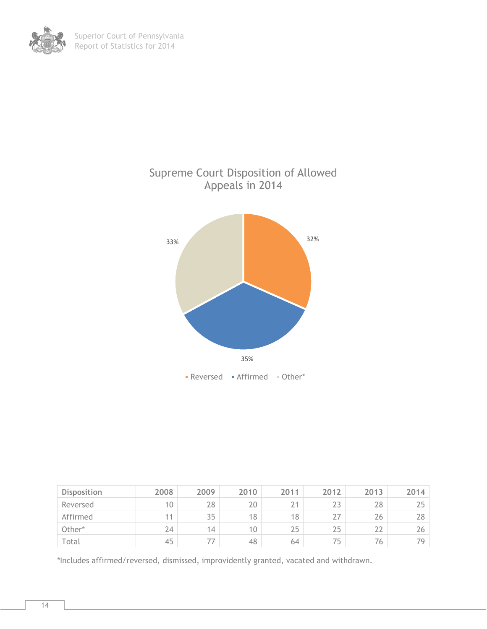

| <b>Disposition</b> | 2008 | 2009  | 2010            | 2011    | 2012 | 2013 | 2014 |
|--------------------|------|-------|-----------------|---------|------|------|------|
| Reversed           | 10   | 28    | 20              | 21<br>∠ | 23   | 28   | 25   |
| Affirmed           | 11   | 35    | 18              | 18      | 27   | 26   | 28   |
| Other*             | 24   | 14    | 10 <sup>°</sup> | 25      | 25   | 22   | 26   |
| Total              | 45   | $- -$ | 48              | 64      | 75   | 76   | 79   |

\*Includes affirmed/reversed, dismissed, improvidently granted, vacated and withdrawn.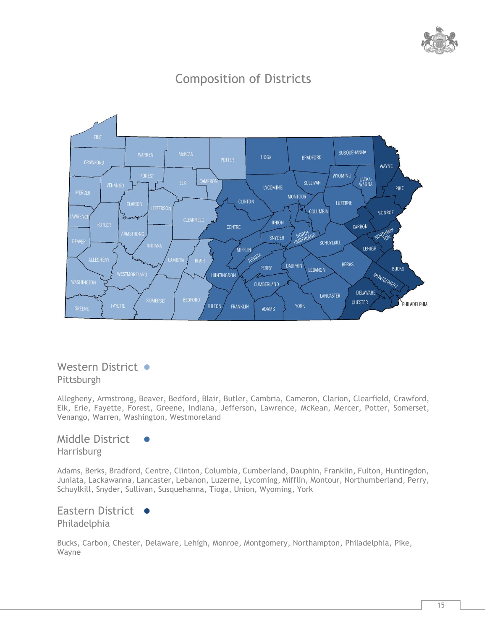

## Composition of Districts



#### Western District ● Pittsburgh

Allegheny, Armstrong, Beaver, Bedford, Blair, Butler, Cambria, Cameron, Clarion, Clearfield, Crawford, Elk, Erie, Fayette, Forest, Greene, Indiana, Jefferson, Lawrence, McKean, Mercer, Potter, Somerset, Venango, Warren, Washington, Westmoreland

Middle District

Harrisburg

Adams, Berks, Bradford, Centre, Clinton, Columbia, Cumberland, Dauphin, Franklin, Fulton, Huntingdon, Juniata, Lackawanna, Lancaster, Lebanon, Luzerne, Lycoming, Mifflin, Montour, Northumberland, Perry, Schuylkill, Snyder, Sullivan, Susquehanna, Tioga, Union, Wyoming, York

Eastern District ● Philadelphia

Bucks, Carbon, Chester, Delaware, Lehigh, Monroe, Montgomery, Northampton, Philadelphia, Pike, Wayne